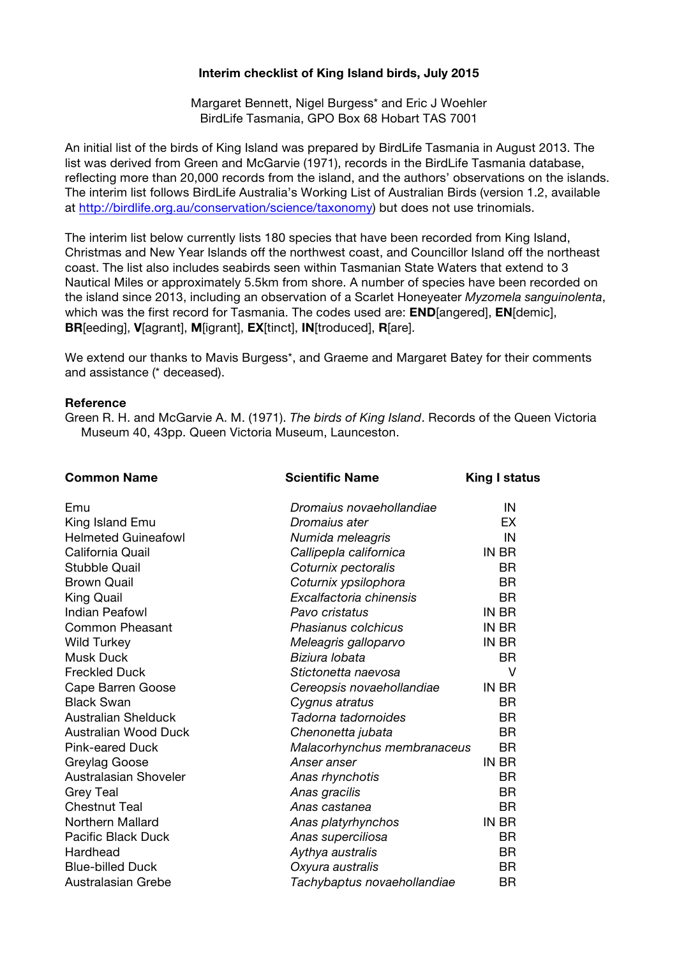## **Interim checklist of King Island birds, July 2015**

Margaret Bennett, Nigel Burgess\* and Eric J Woehler BirdLife Tasmania, GPO Box 68 Hobart TAS 7001

An initial list of the birds of King Island was prepared by BirdLife Tasmania in August 2013. The list was derived from Green and McGarvie (1971), records in the BirdLife Tasmania database, reflecting more than 20,000 records from the island, and the authors' observations on the islands. The interim list follows BirdLife Australia's Working List of Australian Birds (version 1.2, available at http://birdlife.org.au/conservation/science/taxonomy) but does not use trinomials.

The interim list below currently lists 180 species that have been recorded from King Island, Christmas and New Year Islands off the northwest coast, and Councillor Island off the northeast coast. The list also includes seabirds seen within Tasmanian State Waters that extend to 3 Nautical Miles or approximately 5.5km from shore. A number of species have been recorded on the island since 2013, including an observation of a Scarlet Honeyeater *Myzomela sanguinolenta*, which was the first record for Tasmania. The codes used are: **END**[angered], **EN**[demic], **BR**[eeding], **V**[agrant], **M**[igrant], **EX**[tinct], **IN**[troduced], **R**[are].

We extend our thanks to Mavis Burgess\*, and Graeme and Margaret Batey for their comments and assistance (\* deceased).

## **Reference**

Green R. H. and McGarvie A. M. (1971). *The birds of King Island*. Records of the Queen Victoria Museum 40, 43pp. Queen Victoria Museum, Launceston.

| <b>Common Name</b>         | <b>Scientific Name</b>      | <b>King I status</b> |
|----------------------------|-----------------------------|----------------------|
| Emu                        | Dromaius novaehollandiae    | IN                   |
| King Island Emu            | Dromaius ater               | EX                   |
| <b>Helmeted Guineafowl</b> | Numida meleagris            | IN                   |
| California Quail           | Callipepla californica      | IN BR                |
| <b>Stubble Quail</b>       | Coturnix pectoralis         | <b>BR</b>            |
| <b>Brown Quail</b>         | Coturnix ypsilophora        | <b>BR</b>            |
| <b>King Quail</b>          | Excalfactoria chinensis     | <b>BR</b>            |
| <b>Indian Peafowl</b>      | Pavo cristatus              | IN BR                |
| <b>Common Pheasant</b>     | Phasianus colchicus         | IN BR                |
| <b>Wild Turkey</b>         | Meleagris galloparvo        | IN BR                |
| <b>Musk Duck</b>           | Biziura lobata              | <b>BR</b>            |
| <b>Freckled Duck</b>       | Stictonetta naevosa         | v                    |
| Cape Barren Goose          | Cereopsis novaehollandiae   | IN BR                |
| <b>Black Swan</b>          | Cygnus atratus              | BR.                  |
| <b>Australian Shelduck</b> | Tadorna tadornoides         | BR.                  |
| Australian Wood Duck       | Chenonetta jubata           | <b>BR</b>            |
| <b>Pink-eared Duck</b>     | Malacorhynchus membranaceus | <b>BR</b>            |
| Greylag Goose              | Anser anser                 | IN BR                |
| Australasian Shoveler      | Anas rhynchotis             | <b>BR</b>            |
| <b>Grey Teal</b>           | Anas gracilis               | <b>BR</b>            |
| <b>Chestnut Teal</b>       | Anas castanea               | <b>BR</b>            |
| Northern Mallard           | Anas platyrhynchos          | IN BR                |
| <b>Pacific Black Duck</b>  | Anas superciliosa           | <b>BR</b>            |
| Hardhead                   | Aythya australis            | <b>BR</b>            |
| <b>Blue-billed Duck</b>    | Oxyura australis            | <b>BR</b>            |
| Australasian Grebe         | Tachybaptus novaehollandiae | <b>BR</b>            |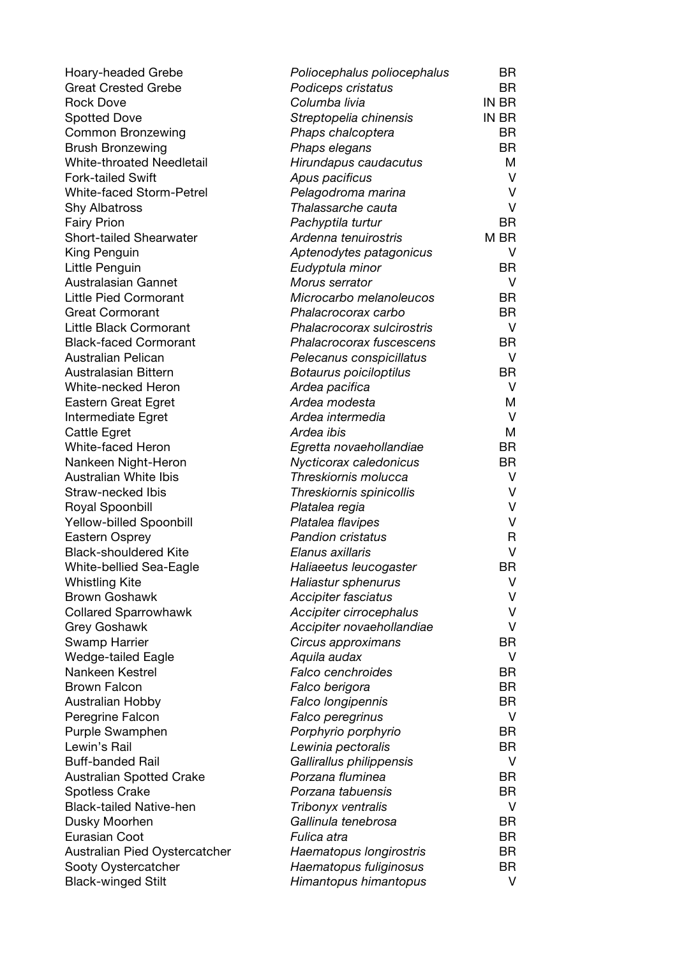| Hoary-headed Grebe              | Poliocephalus poliocephalus | BR           |
|---------------------------------|-----------------------------|--------------|
| <b>Great Crested Grebe</b>      | Podiceps cristatus          | <b>BR</b>    |
| <b>Rock Dove</b>                | Columba livia               | IN BR        |
| <b>Spotted Dove</b>             | Streptopelia chinensis      | IN BR        |
| <b>Common Bronzewing</b>        | Phaps chalcoptera           | BR           |
| <b>Brush Bronzewing</b>         | Phaps elegans               | BR           |
| White-throated Needletail       | Hirundapus caudacutus       | M            |
| <b>Fork-tailed Swift</b>        | Apus pacificus              | $\vee$       |
| White-faced Storm-Petrel        | Pelagodroma marina          | $\vee$       |
| <b>Shy Albatross</b>            | Thalassarche cauta          | $\vee$       |
| <b>Fairy Prion</b>              | Pachyptila turtur           | <b>BR</b>    |
| <b>Short-tailed Shearwater</b>  | Ardenna tenuirostris        | M BR         |
| King Penguin                    | Aptenodytes patagonicus     | V            |
| Little Penguin                  | Eudyptula minor             | BR           |
| Australasian Gannet             | Morus serrator              | V            |
| <b>Little Pied Cormorant</b>    | Microcarbo melanoleucos     | BR           |
| <b>Great Cormorant</b>          | Phalacrocorax carbo         | <b>BR</b>    |
| Little Black Cormorant          | Phalacrocorax sulcirostris  | $\vee$       |
| <b>Black-faced Cormorant</b>    | Phalacrocorax fuscescens    | <b>BR</b>    |
| Australian Pelican              | Pelecanus conspicillatus    | V            |
| Australasian Bittern            | Botaurus poiciloptilus      | BR           |
| White-necked Heron              | Ardea pacifica              | V            |
| <b>Eastern Great Egret</b>      | Ardea modesta               | M            |
| Intermediate Egret              | Ardea intermedia            | $\vee$       |
| Cattle Egret                    | Ardea ibis                  | M            |
| White-faced Heron               | Egretta novaehollandiae     | BR           |
| Nankeen Night-Heron             | Nycticorax caledonicus      | <b>BR</b>    |
| <b>Australian White Ibis</b>    | Threskiornis molucca        | $\vee$       |
| Straw-necked Ibis               | Threskiornis spinicollis    | V            |
| Royal Spoonbill                 | Platalea regia              | V            |
| Yellow-billed Spoonbill         | Platalea flavipes           | $\vee$       |
| Eastern Osprey                  | <b>Pandion cristatus</b>    | $\mathsf{R}$ |
| <b>Black-shouldered Kite</b>    | Elanus axillaris            | $\vee$       |
| White-bellied Sea-Eagle         | Haliaeetus leucogaster      | <b>BR</b>    |
| <b>Whistling Kite</b>           | Haliastur sphenurus         | V            |
| <b>Brown Goshawk</b>            | Accipiter fasciatus         | V            |
| <b>Collared Sparrowhawk</b>     | Accipiter cirrocephalus     | V            |
| <b>Grey Goshawk</b>             | Accipiter novaehollandiae   | V            |
| Swamp Harrier                   | Circus approximans          | <b>BR</b>    |
| <b>Wedge-tailed Eagle</b>       | Aquila audax                | V            |
| Nankeen Kestrel                 | Falco cenchroides           | BR           |
| <b>Brown Falcon</b>             | Falco berigora              | <b>BR</b>    |
| Australian Hobby                | Falco longipennis           | <b>BR</b>    |
| Peregrine Falcon                | Falco peregrinus            | V            |
| Purple Swamphen                 | Porphyrio porphyrio         | <b>BR</b>    |
| Lewin's Rail                    | Lewinia pectoralis          | BR           |
| <b>Buff-banded Rail</b>         | Gallirallus philippensis    | V            |
| <b>Australian Spotted Crake</b> | Porzana fluminea            | BR           |
| <b>Spotless Crake</b>           | Porzana tabuensis           | <b>BR</b>    |
| <b>Black-tailed Native-hen</b>  | Tribonyx ventralis          | V            |
| Dusky Moorhen                   | Gallinula tenebrosa         | <b>BR</b>    |
| Eurasian Coot                   | Fulica atra                 | <b>BR</b>    |
| Australian Pied Oystercatcher   | Haematopus longirostris     | <b>BR</b>    |
| Sooty Oystercatcher             | Haematopus fuliginosus      | <b>BR</b>    |
| <b>Black-winged Stilt</b>       | Himantopus himantopus       | V            |
|                                 |                             |              |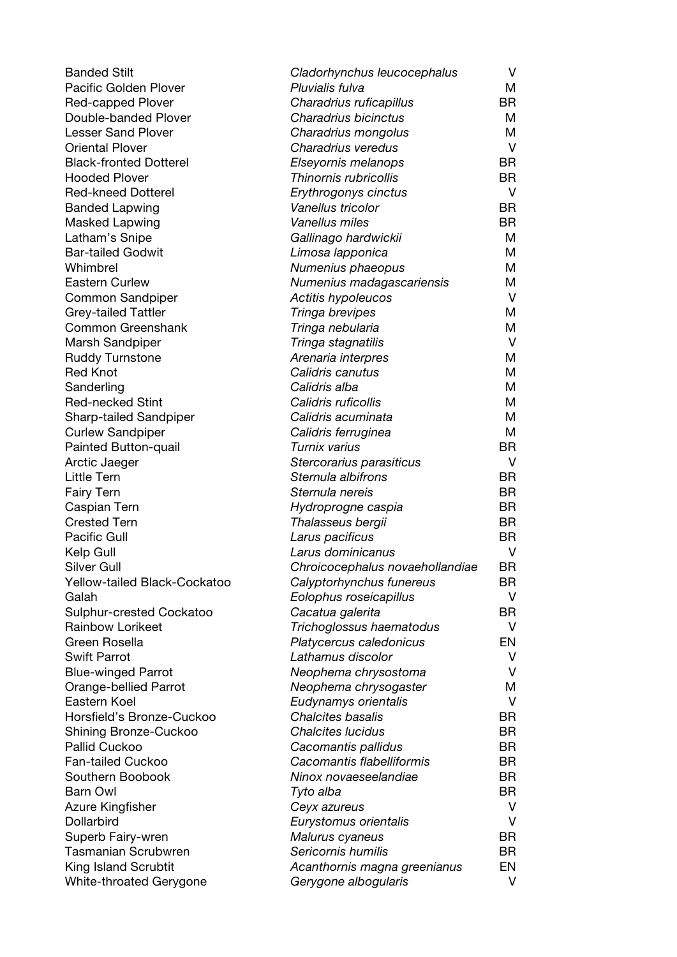| <b>Banded Stilt</b>           | Cladorhynchus leucocephalus     | V         |
|-------------------------------|---------------------------------|-----------|
| <b>Pacific Golden Plover</b>  | Pluvialis fulva                 | Μ         |
| Red-capped Plover             | Charadrius ruficapillus         | <b>BR</b> |
| Double-banded Plover          | Charadrius bicinctus            | М         |
| <b>Lesser Sand Plover</b>     | Charadrius mongolus             | Μ         |
| <b>Oriental Plover</b>        | Charadrius veredus              | V         |
| <b>Black-fronted Dotterel</b> | Elseyornis melanops             | <b>BR</b> |
| <b>Hooded Plover</b>          | Thinornis rubricollis           | <b>BR</b> |
| <b>Red-kneed Dotterel</b>     | Erythrogonys cinctus            | V         |
| <b>Banded Lapwing</b>         | Vanellus tricolor               | <b>BR</b> |
| <b>Masked Lapwing</b>         | Vanellus miles                  | <b>BR</b> |
| Latham's Snipe                | Gallinago hardwickii            | Μ         |
| <b>Bar-tailed Godwit</b>      | Limosa lapponica                | М         |
| Whimbrel                      | Numenius phaeopus               | Μ         |
| <b>Eastern Curlew</b>         | Numenius madagascariensis       | Μ         |
| <b>Common Sandpiper</b>       | Actitis hypoleucos              | V         |
| <b>Grey-tailed Tattler</b>    | Tringa brevipes                 | Μ         |
| Common Greenshank             | Tringa nebularia                | М         |
| Marsh Sandpiper               | Tringa stagnatilis              | V         |
| <b>Ruddy Turnstone</b>        | Arenaria interpres              | Μ         |
| <b>Red Knot</b>               | Calidris canutus                | Μ         |
| Sanderling                    | Calidris alba                   | M         |
| <b>Red-necked Stint</b>       | Calidris ruficollis             | Μ         |
| Sharp-tailed Sandpiper        | Calidris acuminata              | М         |
| <b>Curlew Sandpiper</b>       | Calidris ferruginea             | M         |
| Painted Button-quail          | Turnix varius                   | <b>BR</b> |
| Arctic Jaeger                 | Stercorarius parasiticus        | V         |
| Little Tern                   | Sternula albifrons              | <b>BR</b> |
| <b>Fairy Tern</b>             | Sternula nereis                 | <b>BR</b> |
| Caspian Tern                  | Hydroprogne caspia              | <b>BR</b> |
| <b>Crested Tern</b>           | Thalasseus bergii               | <b>BR</b> |
| Pacific Gull                  | Larus pacificus                 | <b>BR</b> |
| Kelp Gull                     | Larus dominicanus               | V         |
| Silver Gull                   | Chroicocephalus novaehollandiae | <b>BR</b> |
| Yellow-tailed Black-Cockatoo  | Calyptorhynchus funereus        | BR        |
| Galah                         | Eolophus roseicapillus          | V         |
| Sulphur-crested Cockatoo      | Cacatua galerita                | <b>BR</b> |
| <b>Rainbow Lorikeet</b>       | Trichoglossus haematodus        | V         |
| Green Rosella                 | Platycercus caledonicus         | EN        |
| <b>Swift Parrot</b>           | Lathamus discolor               | v         |
| <b>Blue-winged Parrot</b>     | Neophema chrysostoma            | V         |
| Orange-bellied Parrot         | Neophema chrysogaster           | Μ         |
| Eastern Koel                  | Eudynamys orientalis            | V         |
| Horsfield's Bronze-Cuckoo     | Chalcites basalis               | <b>BR</b> |
| Shining Bronze-Cuckoo         | <b>Chalcites lucidus</b>        | <b>BR</b> |
| <b>Pallid Cuckoo</b>          | Cacomantis pallidus             | BR.       |
| <b>Fan-tailed Cuckoo</b>      | Cacomantis flabelliformis       | <b>BR</b> |
| Southern Boobook              | Ninox novaeseelandiae           | <b>BR</b> |
| <b>Barn Owl</b>               | Tyto alba                       | <b>BR</b> |
| Azure Kingfisher              | Ceyx azureus                    | V         |
| Dollarbird                    | Eurystomus orientalis           | V         |
| Superb Fairy-wren             | Malurus cyaneus                 | <b>BR</b> |
| <b>Tasmanian Scrubwren</b>    | Sericornis humilis              | <b>BR</b> |
| King Island Scrubtit          | Acanthornis magna greenianus    | EN        |
| White-throated Gerygone       | Gerygone albogularis            | V         |
|                               |                                 |           |